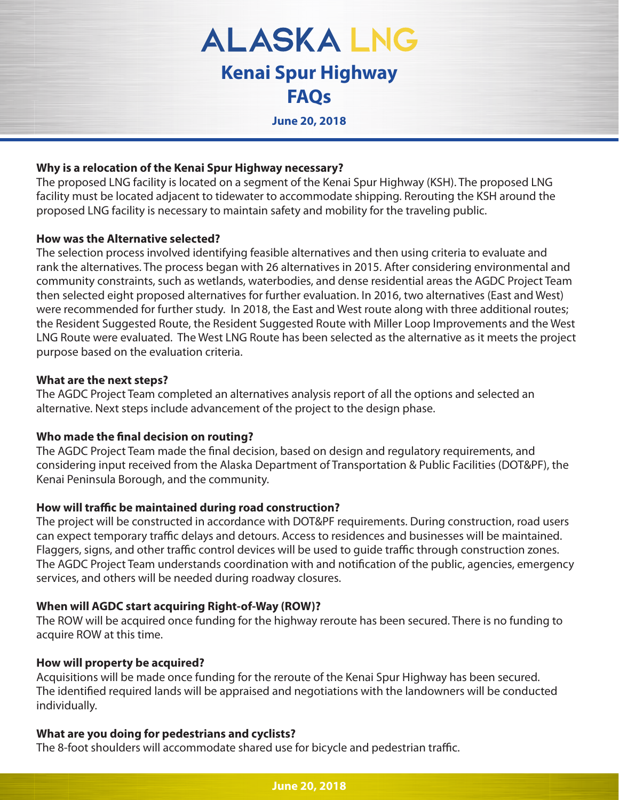**ALASKALNG Kenai Spur Highway FAQs**

**June 20, 2018**

### **Why is a relocation of the Kenai Spur Highway necessary?**

The proposed LNG facility is located on a segment of the Kenai Spur Highway (KSH). The proposed LNG facility must be located adjacent to tidewater to accommodate shipping. Rerouting the KSH around the proposed LNG facility is necessary to maintain safety and mobility for the traveling public.

### **How was the Alternative selected?**

The selection process involved identifying feasible alternatives and then using criteria to evaluate and rank the alternatives. The process began with 26 alternatives in 2015. After considering environmental and community constraints, such as wetlands, waterbodies, and dense residential areas the AGDC Project Team then selected eight proposed alternatives for further evaluation. In 2016, two alternatives (East and West) were recommended for further study. In 2018, the East and West route along with three additional routes; the Resident Suggested Route, the Resident Suggested Route with Miller Loop Improvements and the West LNG Route were evaluated. The West LNG Route has been selected as the alternative as it meets the project purpose based on the evaluation criteria.

### **What are the next steps?**

The AGDC Project Team completed an alternatives analysis report of all the options and selected an alternative. Next steps include advancement of the project to the design phase.

# **Who made the final decision on routing?**

The AGDC Project Team made the final decision, based on design and regulatory requirements, and considering input received from the Alaska Department of Transportation & Public Facilities (DOT&PF), the Kenai Peninsula Borough, and the community.

# How will traffic be maintained during road construction?

The project will be constructed in accordance with DOT&PF requirements. During construction, road users can expect temporary traffic delays and detours. Access to residences and businesses will be maintained. Flaggers, signs, and other traffic control devices will be used to guide traffic through construction zones. The AGDC Project Team understands coordination with and notification of the public, agencies, emergency services, and others will be needed during roadway closures.

# **When will AGDC start acquiring Right-of-Way (ROW)?**

The ROW will be acquired once funding for the highway reroute has been secured. There is no funding to acquire ROW at this time.

### **How will property be acquired?**

Acquisitions will be made once funding for the reroute of the Kenai Spur Highway has been secured. The identified required lands will be appraised and negotiations with the landowners will be conducted individually.

# **What are you doing for pedestrians and cyclists?**

The 8-foot shoulders will accommodate shared use for bicycle and pedestrian traffic.